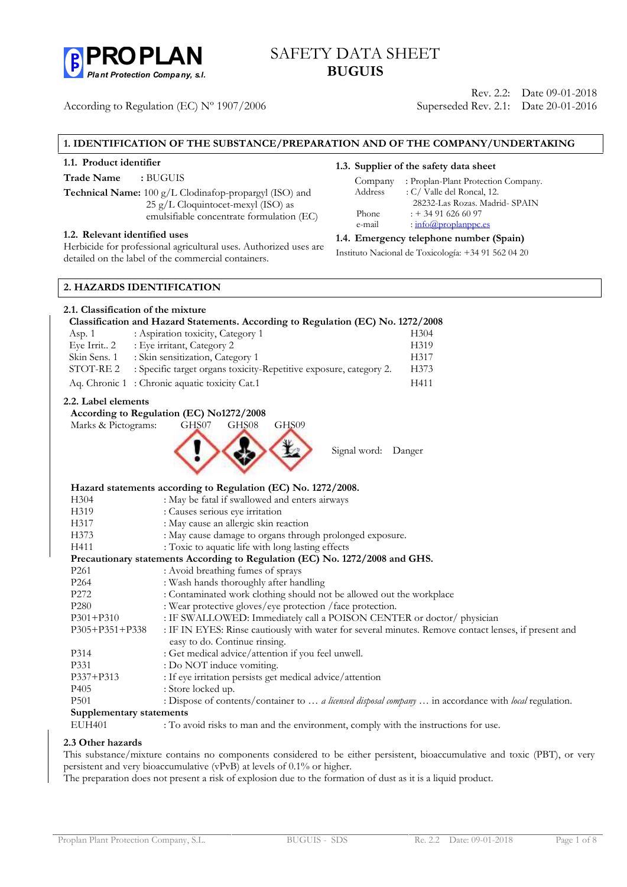

# **B** PROPLAN SAFETY DATA SHEET **BUGUIS**

According to Regulation (EC) Nº 1907/2006

Rev. 2.2: Date 09-01-2018 Superseded Rev. 2.1: Date 20-01-2016

## **1. IDENTIFICATION OF THE SUBSTANCE/PREPARATION AND OF THE COMPANY/UNDERTAKING**

### **1.1. Product identifier**

**Trade Name :** BUGUIS

**Technical Name:** 100 g/L Clodinafop-propargyl (ISO) and 25 g/L Cloquintocet-mexyl (ISO) as emulsifiable concentrate formulation (EC)

### **1.2. Relevant identified uses**

Herbicide for professional agricultural uses. Authorized uses are detailed on the label of the commercial containers.

# **1.3. Supplier of the safety data sheet**

|         | $\sim$ oupplier of the safety data sheet |
|---------|------------------------------------------|
| Company | : Proplan-Plant Protection Company.      |
| Address | : C/ Valle del Roncal, 12.               |
|         | 28232-Las Rozas. Madrid- SPAIN           |
| Phone   | $: +34916266097$                         |
| e-mail  | $\cdot$ info@proplanppc.es               |

### **1.4. Emergency telephone number (Spain)**

Instituto Nacional de Toxicología: +34 91 562 04 20

### **2. HAZARDS IDENTIFICATION**

## **2.1. Classification of the mixture Classification and Hazard Statements. According to Regulation (EC) No. 1272/2008** Asp. 1 : Aspiration toxicity, Category 1 H304 Eye Irrit.. 2 : Eye irritant, Category 2 H319 Skin Sens. 1 : Skin sensitization, Category 1 H317 STOT-RE 2 : Specific target organs toxicity-Repetitive exposure, category 2. H373 Aq. Chronic 1: Chronic aquatic toxicity Cat.1 H411

#### **2.2. Label elements**

**According to Regulation (EC) No1272/2008**



Signal word: Danger

|                          | Hazard statements according to Regulation (EC) No. 1272/2008.                                                                         |
|--------------------------|---------------------------------------------------------------------------------------------------------------------------------------|
| H <sub>304</sub>         | : May be fatal if swallowed and enters airways                                                                                        |
| H319                     | : Causes serious eye irritation                                                                                                       |
| H317                     | : May cause an allergic skin reaction                                                                                                 |
| H373                     | : May cause damage to organs through prolonged exposure.                                                                              |
| H411                     | : Toxic to aquatic life with long lasting effects                                                                                     |
|                          | Precautionary statements According to Regulation (EC) No. 1272/2008 and GHS.                                                          |
| P <sub>261</sub>         | : Avoid breathing fumes of sprays                                                                                                     |
| P <sub>264</sub>         | : Wash hands thoroughly after handling                                                                                                |
| P272                     | : Contaminated work clothing should not be allowed out the workplace                                                                  |
| P <sub>280</sub>         | : Wear protective gloves/eye protection / face protection.                                                                            |
| $P301 + P310$            | : IF SWALLOWED: Immediately call a POISON CENTER or doctor/ physician                                                                 |
| $P305 + P351 + P338$     | : IF IN EYES: Rinse cautiously with water for several minutes. Remove contact lenses, if present and<br>easy to do. Continue rinsing. |
| P314                     | : Get medical advice/attention if you feel unwell.                                                                                    |
| P331                     | : Do NOT induce vomiting.                                                                                                             |
| P337+P313                | : If eye irritation persists get medical advice/attention                                                                             |
| P <sub>405</sub>         | : Store locked up.                                                                                                                    |
| P <sub>501</sub>         | : Dispose of contents/container to  a licensed disposal company  in accordance with local regulation.                                 |
| Supplementary statements |                                                                                                                                       |

EUH401 : To avoid risks to man and the environment, comply with the instructions for use.

### **2.3 Other hazards**

This substance/mixture contains no components considered to be either persistent, bioaccumulative and toxic (PBT), or very persistent and very bioaccumulative (vPvB) at levels of 0.1% or higher.

The preparation does not present a risk of explosion due to the formation of dust as it is a liquid product.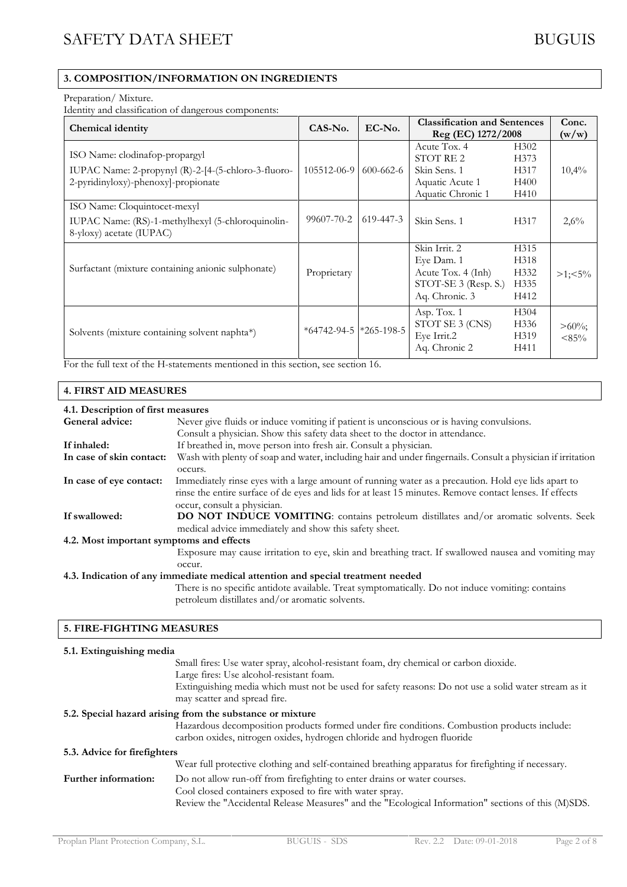## **3. COMPOSITION/INFORMATION ON INGREDIENTS**

#### Preparation/ Mixture.

Identity and classification of dangerous components:

|                                                                                                                              | $CAS-N0$ .                         | $EC-No.$  | <b>Classification and Sentences</b>                                                         |                                                               | Conc.                |
|------------------------------------------------------------------------------------------------------------------------------|------------------------------------|-----------|---------------------------------------------------------------------------------------------|---------------------------------------------------------------|----------------------|
| <b>Chemical identity</b>                                                                                                     |                                    |           | Reg (EC) 1272/2008                                                                          |                                                               | (w/w)                |
| ISO Name: clodinafop-propargyl<br>IUPAC Name: 2-propynyl (R)-2-[4-(5-chloro-3-fluoro-<br>2-pyridinyloxy)-phenoxy]-propionate | 105512-06-9                        | 600-662-6 | Acute Tox. 4<br><b>STOT RE2</b><br>Skin Sens. 1<br>Aquatic Acute 1<br>Aquatic Chronic 1     | H <sub>3</sub> 02<br>H <sub>373</sub><br>H317<br>H400<br>H410 | 10,4%                |
| ISO Name: Cloquintocet-mexyl<br>IUPAC Name: (RS)-1-methylhexyl (5-chloroquinolin-<br>8-yloxy) acetate (IUPAC)                | 99607-70-2                         | 619-447-3 | Skin Sens. 1                                                                                | H317                                                          | 2,6%                 |
| Surfactant (mixture containing anionic sulphonate)                                                                           | Proprietary                        |           | Skin Irrit. 2<br>Eye Dam. 1<br>Acute Tox. 4 (Inh)<br>STOT-SE 3 (Resp. S.)<br>Aq. Chronic. 3 | H <sub>315</sub><br>H318<br>H332<br>H335<br>H412              | $>1:5\%$             |
| Solvents (mixture containing solvent naphta*)                                                                                | $*64742 - 94 - 5$ $*265 - 198 - 5$ |           | Asp. Tox. 1<br>STOT SE 3 (CNS)<br>Eye Irrit.2<br>Aq. Chronic 2                              | H304<br>H <sub>336</sub><br>H319<br>H411                      | $>60\%$ ;<br>$<85\%$ |

For the full text of the H-statements mentioned in this section, see section 16.

### **4. FIRST AID MEASURES**

### **4.1. Description of first measures**

| General advice:                          | Never give fluids or induce vomiting if patient is unconscious or is having convulsions.                                                                                                                                                      |
|------------------------------------------|-----------------------------------------------------------------------------------------------------------------------------------------------------------------------------------------------------------------------------------------------|
|                                          | Consult a physician. Show this safety data sheet to the doctor in attendance.                                                                                                                                                                 |
| If inhaled:                              | If breathed in, move person into fresh air. Consult a physician.                                                                                                                                                                              |
| In case of skin contact:                 | Wash with plenty of soap and water, including hair and under fingernails. Consult a physician if irritation<br>occurs.                                                                                                                        |
| In case of eye contact:                  | Immediately rinse eyes with a large amount of running water as a precaution. Hold eye lids apart to<br>rinse the entire surface of de eyes and lids for at least 15 minutes. Remove contact lenses. If effects<br>occur, consult a physician. |
| If swallowed:                            | <b>DO NOT INDUCE VOMITING:</b> contains petroleum distillates and/or aromatic solvents. Seek<br>medical advice immediately and show this safety sheet.                                                                                        |
| 4.2. Most important symptoms and effects |                                                                                                                                                                                                                                               |
|                                          | Exposure may cause irritation to eye, skin and breathing tract. If swallowed nausea and vomiting may<br>occur.                                                                                                                                |
|                                          | 4.3. Indication of any immediate medical attention and special treatment needed                                                                                                                                                               |
|                                          | There is no specific antidote available. Treat symptomatically. Do not induce vomiting: contains<br>petroleum distillates and/or aromatic solvents.                                                                                           |

### **5. FIRE-FIGHTING MEASURES**

# **5.1. Extinguishing media** Small fires: Use water spray, alcohol-resistant foam, dry chemical or carbon dioxide. Large fires: Use alcohol-resistant foam. Extinguishing media which must not be used for safety reasons: Do not use a solid water stream as it may scatter and spread fire. **5.2. Special hazard arising from the substance or mixture** Hazardous decomposition products formed under fire conditions. Combustion products include: carbon oxides, nitrogen oxides, hydrogen chloride and hydrogen fluoride **5.3. Advice for firefighters** Wear full protective clothing and self-contained breathing apparatus for firefighting if necessary. Further information: Do not allow run-off from firefighting to enter drains or water courses. Cool closed containers exposed to fire with water spray. Review the "Accidental Release Measures" and the "Ecological Information" sections of this (M)SDS.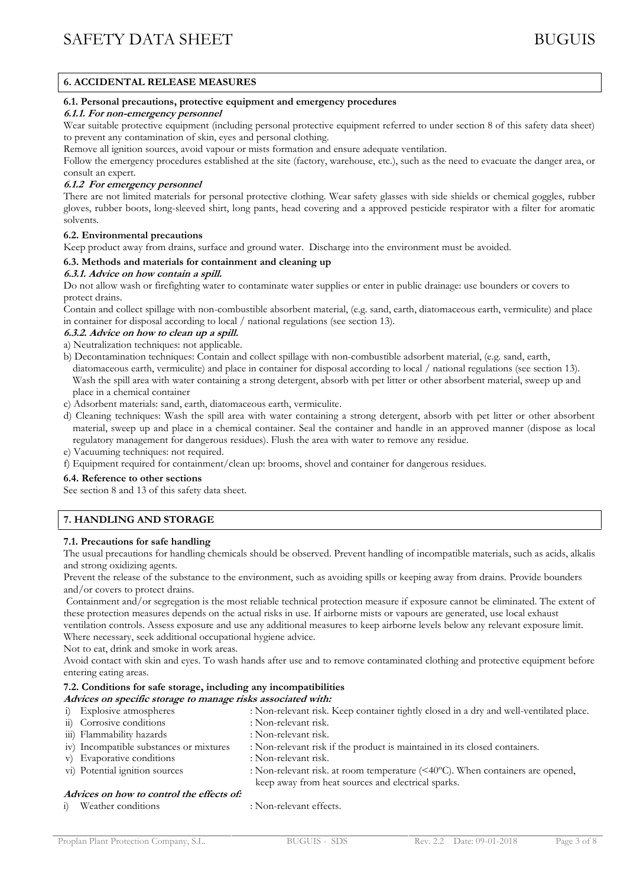### **6. ACCIDENTAL RELEASE MEASURES**

### **6.1. Personal precautions, protective equipment and emergency procedures**

### *6.1.1. For non-emergency personnel*

Wear suitable protective equipment (including personal protective equipment referred to under section 8 of this safety data sheet) to prevent any contamination of skin, eyes and personal clothing.

Remove all ignition sources, avoid vapour or mists formation and ensure adequate ventilation.

Follow the emergency procedures established at the site (factory, warehouse, etc.), such as the need to evacuate the danger area, or consult an expert.

### *6.1.2 For emergency personnel*

There are not limited materials for personal protective clothing. Wear safety glasses with side shields or chemical goggles, rubber gloves, rubber boots, long-sleeved shirt, long pants, head covering and a approved pesticide respirator with a filter for aromatic solvents.

### **6.2. Environmental precautions**

Keep product away from drains, surface and ground water. Discharge into the environment must be avoided.

### **6.3. Methods and materials for containment and cleaning up**

### *6.3.1. Advice on how contain a spill.*

Do not allow wash or firefighting water to contaminate water supplies or enter in public drainage: use bounders or covers to protect drains.

Contain and collect spillage with non-combustible absorbent material, (e.g. sand, earth, diatomaceous earth, vermiculite) and place in container for disposal according to local / national regulations (see section 13).

### *6.3.2. Advice on how to clean up a spill.*

- a) Neutralization techniques: not applicable.
- b) Decontamination techniques: Contain and collect spillage with non-combustible adsorbent material, (e.g. sand, earth, diatomaceous earth, vermiculite) and place in container for disposal according to local / national regulations (see section 13). Wash the spill area with water containing a strong detergent, absorb with pet litter or other absorbent material, sweep up and place in a chemical container
- c) Adsorbent materials: sand, earth, diatomaceous earth, vermiculite.
- d) Cleaning techniques: Wash the spill area with water containing a strong detergent, absorb with pet litter or other absorbent material, sweep up and place in a chemical container. Seal the container and handle in an approved manner (dispose as local regulatory management for dangerous residues). Flush the area with water to remove any residue.
- e) Vacuuming techniques: not required.
- f) Equipment required for containment/clean up: brooms, shovel and container for dangerous residues.

#### **6.4. Reference to other sections**

See section 8 and 13 of this safety data sheet.

# **7. HANDLING AND STORAGE**

### **7.1. Precautions for safe handling**

The usual precautions for handling chemicals should be observed. Prevent handling of incompatible materials, such as acids, alkalis and strong oxidizing agents.

Prevent the release of the substance to the environment, such as avoiding spills or keeping away from drains. Provide bounders and/or covers to protect drains.

Containment and/or segregation is the most reliable technical protection measure if exposure cannot be eliminated. The extent of these protection measures depends on the actual risks in use. If airborne mists or vapours are generated, use local exhaust ventilation controls. Assess exposure and use any additional measures to keep airborne levels below any relevant exposure limit. Where necessary, seek additional occupational hygiene advice.

Not to eat, drink and smoke in work areas.

Avoid contact with skin and eyes. To wash hands after use and to remove contaminated clothing and protective equipment before entering eating areas.

## **7.2. Conditions for safe storage, including any incompatibilities**

- *Advices on specific storage to manage risks associated with:*
- i) Explosive atmospheres : Non-relevant risk. Keep container tightly closed in a dry and well-ventilated place.
- ii) Corrosive conditions : Non-relevant risk.
- iii) Flammability hazards iv) Incompatible substances or mixtures : Non-relevant risk if the product is maintained in its closed containers. v) Evaporative conditions : Non-relevant risk. vi) Potential ignition sources : Non-relevant risk. at room temperature (<40ºC). When containers are opened, keep away from heat sources and electrical sparks.

### *Advices on how to control the effects of:*

- 
- i) Weather conditions : Non-relevant effects.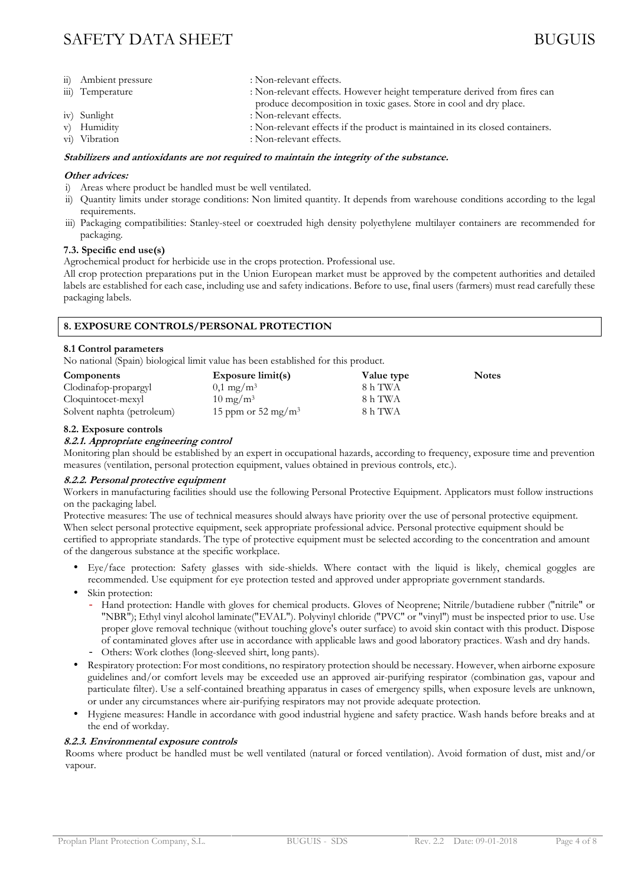- ii) Ambient pressure : Non-relevant effects. iii) Temperature : Non-relevant effects. However height temperature derived from fires can produce decomposition in toxic gases. Store in cool and dry place.
- iv) Sunlight : Non-relevant effects.
- v) Humidity : Non-relevant effects if the product is maintained in its closed containers.
- vi) Vibration : Non-relevant effects.

# *Stabilizers and antioxidants are not required to maintain the integrity of the substance.*

# *Other advices:*

- i) Areas where product be handled must be well ventilated.
- ii) Quantity limits under storage conditions: Non limited quantity. It depends from warehouse conditions according to the legal requirements.
- iii) Packaging compatibilities: Stanley-steel or coextruded high density polyethylene multilayer containers are recommended for packaging.

# **7.3. Specific end use(s)**

Agrochemical product for herbicide use in the crops protection. Professional use.

All crop protection preparations put in the Union European market must be approved by the competent authorities and detailed labels are established for each case, including use and safety indications. Before to use, final users (farmers) must read carefully these packaging labels.

# **8. EXPOSURE CONTROLS/PERSONAL PROTECTION**

# **8.1 Control parameters**

No national (Spain) biological limit value has been established for this product.

| <b>Components</b>          | Exposure $limit(s)$            | Value type | <b>Notes</b> |
|----------------------------|--------------------------------|------------|--------------|
| Clodinafop-propargyl       | $0.1 \text{ mg/m}^3$           | 8 h TWA    |              |
| Cloquintocet-mexyl         | $10 \text{ mg/m}^3$            | 8 h TWA    |              |
| Solvent naphta (petroleum) | 15 ppm or 52 mg/m <sup>3</sup> | 8 h TWA    |              |

### **8.2. Exposure controls**

### *8.2.1. Appropriate engineering control*

Monitoring plan should be established by an expert in occupational hazards, according to frequency, exposure time and prevention measures (ventilation, personal protection equipment, values obtained in previous controls, etc.).

### *8.2.2. Personal protective equipment*

Workers in manufacturing facilities should use the following Personal Protective Equipment. Applicators must follow instructions on the packaging label.

Protective measures: The use of technical measures should always have priority over the use of personal protective equipment. When select personal protective equipment, seek appropriate professional advice. Personal protective equipment should be certified to appropriate standards. The type of protective equipment must be selected according to the concentration and amount of the dangerous substance at the specific workplace.

- Eye/face protection: Safety glasses with side-shields. Where contact with the liquid is likely, chemical goggles are recommended. Use equipment for eye protection tested and approved under appropriate government standards.
- Skin protection:
	- Hand protection: Handle with gloves for chemical products. Gloves of Neoprene; Nitrile/butadiene rubber ("nitrile" or "NBR"); Ethyl vinyl alcohol laminate("EVAL"). Polyvinyl chloride ("PVC" or "vinyl") must be inspected prior to use. Use proper glove removal technique (without touching glove's outer surface) to avoid skin contact with this product. Dispose of contaminated gloves after use in accordance with applicable laws and good laboratory practices. Wash and dry hands.
	- Others: Work clothes (long-sleeved shirt, long pants).
- Respiratory protection: For most conditions, no respiratory protection should be necessary. However, when airborne exposure guidelines and/or comfort levels may be exceeded use an approved air-purifying respirator (combination gas, vapour and particulate filter). Use a self-contained breathing apparatus in cases of emergency spills, when exposure levels are unknown, or under any circumstances where air-purifying respirators may not provide adequate protection.
- Hygiene measures: Handle in accordance with good industrial hygiene and safety practice. Wash hands before breaks and at the end of workday.

### *8.2.3. Environmental exposure controls*

Rooms where product be handled must be well ventilated (natural or forced ventilation). Avoid formation of dust, mist and/or vapour.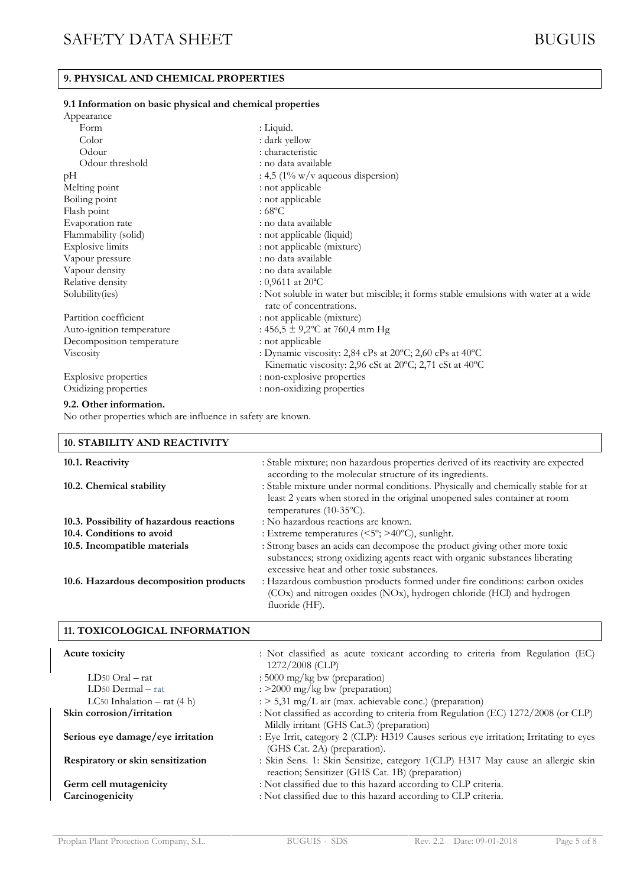# **9. PHYSICAL AND CHEMICAL PROPERTIES**

### **9.1 Information on basic physical and chemical properties**

| Appearance                |                                                                                                                |
|---------------------------|----------------------------------------------------------------------------------------------------------------|
| Form                      | : Liquid.                                                                                                      |
| Color                     | : dark yellow                                                                                                  |
| Odour                     | : characteristic                                                                                               |
| Odour threshold           | : no data available                                                                                            |
| pH                        | : 4,5 $(1\% \text{ w/v}$ aqueous dispersion)                                                                   |
| Melting point             | : not applicable                                                                                               |
| Boiling point             | : not applicable                                                                                               |
| Flash point               | : $68^{\circ}$ C                                                                                               |
| Evaporation rate          | : no data available                                                                                            |
| Flammability (solid)      | : not applicable (liquid)                                                                                      |
| <b>Explosive limits</b>   | : not applicable (mixture)                                                                                     |
| Vapour pressure           | : no data available                                                                                            |
| Vapour density            | : no data available                                                                                            |
| Relative density          | : 0,9611 at $20^{\circ}$ C                                                                                     |
| Solubility(ies)           | : Not soluble in water but miscible; it forms stable emulsions with water at a wide<br>rate of concentrations. |
| Partition coefficient     | : not applicable (mixture)                                                                                     |
| Auto-ignition temperature | : $456,5 \pm 9,2$ °C at 760,4 mm Hg                                                                            |
| Decomposition temperature | : not applicable                                                                                               |
| <b>Viscosity</b>          | : Dynamic viscosity: 2,84 cPs at 20°C; 2,60 cPs at 40°C                                                        |
|                           | Kinematic viscosity: 2,96 cSt at 20°C; 2,71 cSt at 40°C                                                        |
| Explosive properties      | : non-explosive properties                                                                                     |
| Oxidizing properties      | : non-oxidizing properties                                                                                     |

#### **9.2. Other information.**

No other properties which are influence in safety are known.

| 10. STABILITY AND REACTIVITY             |                                                                                                                                                                                                         |
|------------------------------------------|---------------------------------------------------------------------------------------------------------------------------------------------------------------------------------------------------------|
| 10.1. Reactivity                         | : Stable mixture; non hazardous properties derived of its reactivity are expected<br>according to the molecular structure of its ingredients.                                                           |
| 10.2. Chemical stability                 | : Stable mixture under normal conditions. Physically and chemically stable for at<br>least 2 years when stored in the original unopened sales container at room<br>temperatures $(10-35\text{°C})$ .    |
| 10.3. Possibility of hazardous reactions | : No hazardous reactions are known.                                                                                                                                                                     |
| 10.4. Conditions to avoid                | : Extreme temperatures $(<5^{\circ}; >40^{\circ}C)$ , sunlight.                                                                                                                                         |
| 10.5. Incompatible materials             | : Strong bases an acids can decompose the product giving other more toxic<br>substances; strong oxidizing agents react with organic substances liberating<br>excessive heat and other toxic substances. |
| 10.6. Hazardous decomposition products   | : Hazardous combustion products formed under fire conditions: carbon oxides<br>(COx) and nitrogen oxides (NOx), hydrogen chloride (HCl) and hydrogen<br>fluoride (HF).                                  |
|                                          |                                                                                                                                                                                                         |

## **11. TOXICOLOGICAL INFORMATION**

| Acute toxicity                            | : Not classified as acute toxicant according to criteria from Regulation (EC)<br>1272/2008 (CLP)                                    |
|-------------------------------------------|-------------------------------------------------------------------------------------------------------------------------------------|
| $LD50$ Oral – rat                         | : 5000 mg/kg bw (preparation)                                                                                                       |
| $LD50$ Dermal $-$ rat                     | : >2000 mg/kg bw (preparation)                                                                                                      |
| LC50 Inhalation $-$ rat (4 h)             | $\therefore$ 5,31 mg/L air (max. achievable conc.) (preparation)                                                                    |
| Skin corrosion/irritation                 | : Not classified as according to criteria from Regulation (EC) 1272/2008 (or CLP)<br>Mildly irritant (GHS Cat.3) (preparation)      |
| Serious eye damage/eye irritation         | : Eye Irrit, category 2 (CLP): H319 Causes serious eye irritation; Irritating to eyes<br>(GHS Cat. 2A) (preparation).               |
| Respiratory or skin sensitization         | : Skin Sens. 1: Skin Sensitize, category 1(CLP) H317 May cause an allergic skin<br>reaction; Sensitizer (GHS Cat. 1B) (preparation) |
| Germ cell mutagenicity<br>Carcinogenicity | : Not classified due to this hazard according to CLP criteria.<br>: Not classified due to this hazard according to CLP criteria.    |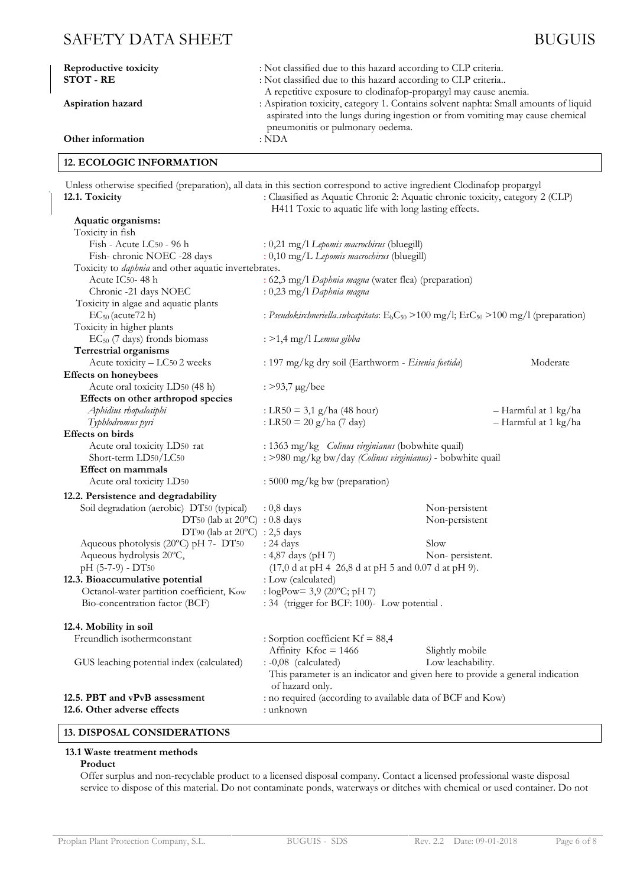| Reproductive toxicity<br>STOT - RE | : Not classified due to this hazard according to CLP criteria.<br>: Not classified due to this hazard according to CLP criteria                                                                                                                                             |
|------------------------------------|-----------------------------------------------------------------------------------------------------------------------------------------------------------------------------------------------------------------------------------------------------------------------------|
| Aspiration hazard                  | A repetitive exposure to clodinafop-propargyl may cause anemia.<br>: Aspiration toxicity, category 1. Contains solvent naphta: Small amounts of liquid<br>aspirated into the lungs during ingestion or from vomiting may cause chemical<br>pneumonitis or pulmonary oedema. |
| Other information                  | : NDA                                                                                                                                                                                                                                                                       |

### **12. ECOLOGIC INFORMATION**

Unless otherwise specified (preparation), all data in this section correspond to active ingredient Clodinafop propargyl **12.1. Toxicity** : Claasified as Aquatic Chronic 2: Aquatic chronic toxicity, category 2 (CLP) H411 Toxic to aquatic life with long lasting effects. **Aquatic organisms:**

| Toxicity in fish                                            |                                                                                                  |                   |                      |  |
|-------------------------------------------------------------|--------------------------------------------------------------------------------------------------|-------------------|----------------------|--|
| Fish - Acute LC50 - 96 h                                    | : 0,21 mg/l Lepomis macrochirus (bluegill)                                                       |                   |                      |  |
| Fish-chronic NOEC -28 days                                  | : 0,10 mg/L Lepomis macrochirus (bluegill)                                                       |                   |                      |  |
| Toxicity to <i>daphnia</i> and other aquatic invertebrates. |                                                                                                  |                   |                      |  |
| Acute IC50-48h                                              | : 62,3 mg/l Daphnia magna (water flea) (preparation)                                             |                   |                      |  |
| Chronic -21 days NOEC                                       | $: 0,23$ mg/l Daphnia magna                                                                      |                   |                      |  |
| Toxicity in algae and aquatic plants                        |                                                                                                  |                   |                      |  |
| EC <sub>50</sub> (acute72 h)                                | : Pseudokirchneriella.subcapitata: $E_bC_{50}$ > 100 mg/l; $ErC_{50}$ > 100 mg/l (preparation)   |                   |                      |  |
| Toxicity in higher plants                                   |                                                                                                  |                   |                      |  |
| $EC_{50}$ (7 days) fronds biomass                           | : >1,4 mg/l Lemna gibba                                                                          |                   |                      |  |
| <b>Terrestrial organisms</b>                                |                                                                                                  |                   |                      |  |
| Acute toxicity - LC50 2 weeks                               | : 197 mg/kg dry soil (Earthworm - Eisenia foetida)                                               |                   | Moderate             |  |
| <b>Effects on honeybees</b>                                 |                                                                                                  |                   |                      |  |
| Acute oral toxicity LD50 (48 h)                             | : $>93,7 \mu g/$ bee                                                                             |                   |                      |  |
| Effects on other arthropod species                          |                                                                                                  |                   |                      |  |
| Aphidius rhopalosiphi                                       | : LR50 = 3,1 g/ha (48 hour)                                                                      |                   | – Harmful at 1 kg/ha |  |
| Typhlodromus pyri                                           | : LR50 = 20 g/ha (7 day)                                                                         |                   | - Harmful at 1 kg/ha |  |
| <b>Effects</b> on birds                                     |                                                                                                  |                   |                      |  |
| Acute oral toxicity LD50 rat                                | : 1363 mg/kg <i>Colinus virginianus</i> (bobwhite quail)                                         |                   |                      |  |
| Short-term LD50/LC50                                        | : >980 mg/kg bw/day (Colinus virginianus) - bobwhite quail                                       |                   |                      |  |
| <b>Effect on mammals</b>                                    |                                                                                                  |                   |                      |  |
| Acute oral toxicity LD50                                    | $: 5000$ mg/kg bw (preparation)                                                                  |                   |                      |  |
| 12.2. Persistence and degradability                         |                                                                                                  |                   |                      |  |
| Soil degradation (aerobic) DT50 (typical)                   | $: 0, 8$ days                                                                                    | Non-persistent    |                      |  |
| DT50 (lab at $20^{\circ}$ C) : 0.8 days                     |                                                                                                  | Non-persistent    |                      |  |
| DT90 (lab at $20^{\circ}$ C) : 2,5 days                     |                                                                                                  |                   |                      |  |
| Aqueous photolysis (20°C) pH 7- DT50                        | : 24 days                                                                                        | Slow              |                      |  |
| Aqueous hydrolysis 20°C,                                    | : 4,87 days (pH 7)                                                                               | Non-persistent.   |                      |  |
| $pH (5-7-9) - DT50$                                         | $(17,0$ d at pH 4 26,8 d at pH 5 and 0.07 d at pH 9).                                            |                   |                      |  |
| 12.3. Bioaccumulative potential                             | : Low (calculated)                                                                               |                   |                      |  |
| Octanol-water partition coefficient, Kow                    | : $logPow = 3.9 (20°C; pH 7)$                                                                    |                   |                      |  |
| Bio-concentration factor (BCF)                              | : 34 (trigger for BCF: 100)- Low potential.                                                      |                   |                      |  |
| 12.4. Mobility in soil                                      |                                                                                                  |                   |                      |  |
| Freundlich isothermconstant                                 | : Sorption coefficient $Kf = 88,4$                                                               |                   |                      |  |
|                                                             | Affinity $Kfoc = 1466$                                                                           | Slightly mobile   |                      |  |
| GUS leaching potential index (calculated)                   | : -0,08 (calculated)                                                                             | Low leachability. |                      |  |
|                                                             | This parameter is an indicator and given here to provide a general indication<br>of hazard only. |                   |                      |  |
| 12.5. PBT and vPvB assessment                               | : no required (according to available data of BCF and Kow)                                       |                   |                      |  |
| 12.6. Other adverse effects                                 | : unknown                                                                                        |                   |                      |  |
|                                                             |                                                                                                  |                   |                      |  |

# **13. DISPOSAL CONSIDERATIONS**

#### **13.1 Waste treatment methods Product**

Offer surplus and non-recyclable product to a licensed disposal company. Contact a licensed professional waste disposal service to dispose of this material. Do not contaminate ponds, waterways or ditches with chemical or used container. Do not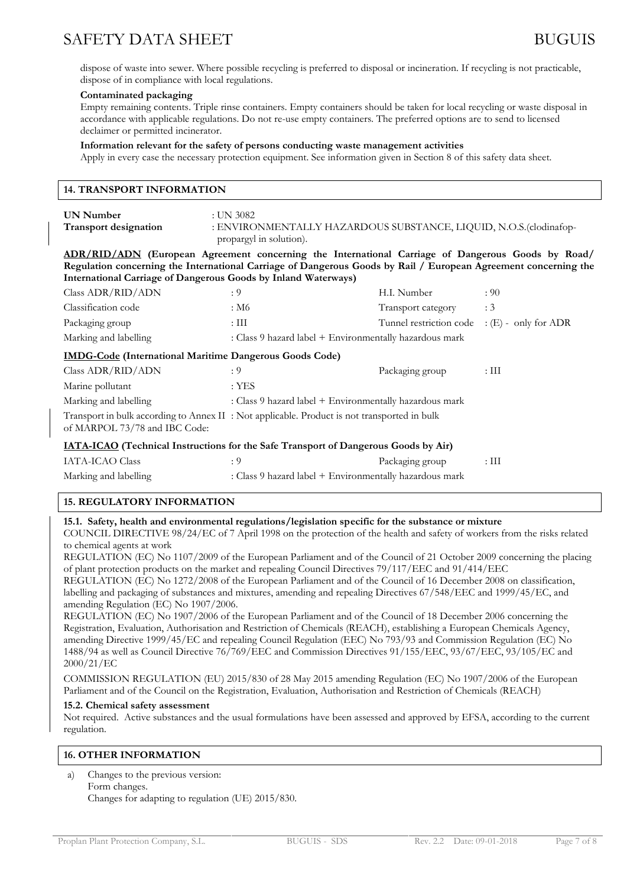dispose of waste into sewer. Where possible recycling is preferred to disposal or incineration. If recycling is not practicable, dispose of in compliance with local regulations.

#### **Contaminated packaging**

Empty remaining contents. Triple rinse containers. Empty containers should be taken for local recycling or waste disposal in accordance with applicable regulations. Do not re-use empty containers. The preferred options are to send to licensed declaimer or permitted incinerator.

#### **Information relevant for the safety of persons conducting waste management activities**

Apply in every case the necessary protection equipment. See information given in Section 8 of this safety data sheet.

| <b>14. TRANSPORT INFORMATION</b>                                                                                                                                                                                                                                                              |                                                                                                          |                                              |                 |  |
|-----------------------------------------------------------------------------------------------------------------------------------------------------------------------------------------------------------------------------------------------------------------------------------------------|----------------------------------------------------------------------------------------------------------|----------------------------------------------|-----------------|--|
| <b>UN Number</b><br><b>Transport designation</b>                                                                                                                                                                                                                                              | :UN 3082<br>: ENVIRONMENTALLY HAZARDOUS SUBSTANCE, LIQUID, N.O.S.(clodinafop-<br>propargyl in solution). |                                              |                 |  |
| ADR/RID/ADN (European Agreement concerning the International Carriage of Dangerous Goods by Road/<br>Regulation concerning the International Carriage of Dangerous Goods by Rail / European Agreement concerning the<br><b>International Carriage of Dangerous Goods by Inland Waterways)</b> |                                                                                                          |                                              |                 |  |
| Class ADR/RID/ADN                                                                                                                                                                                                                                                                             | : 9                                                                                                      | H.I. Number                                  | : 90            |  |
| Classification code                                                                                                                                                                                                                                                                           | : M6                                                                                                     | Transport category                           | : 3             |  |
| Packaging group                                                                                                                                                                                                                                                                               | $:\mathop{\rm III}$                                                                                      | Tunnel restriction code : (E) - only for ADR |                 |  |
| Marking and labelling                                                                                                                                                                                                                                                                         | : Class 9 hazard label + Environmentally hazardous mark                                                  |                                              |                 |  |
| <b>IMDG-Code</b> (International Maritime Dangerous Goods Code)                                                                                                                                                                                                                                |                                                                                                          |                                              |                 |  |
| Class ADR/RID/ADN                                                                                                                                                                                                                                                                             | : 9                                                                                                      | Packaging group                              | $\cdot$ III     |  |
| Marine pollutant                                                                                                                                                                                                                                                                              | $:$ YES                                                                                                  |                                              |                 |  |
| Marking and labelling                                                                                                                                                                                                                                                                         | : Class 9 hazard label + Environmentally hazardous mark                                                  |                                              |                 |  |
| Transport in bulk according to Annex II : Not applicable. Product is not transported in bulk<br>of MARPOL 73/78 and IBC Code:                                                                                                                                                                 |                                                                                                          |                                              |                 |  |
| <b>IATA-ICAO</b> (Technical Instructions for the Safe Transport of Dangerous Goods by Air)                                                                                                                                                                                                    |                                                                                                          |                                              |                 |  |
| <b>IATA-ICAO Class</b>                                                                                                                                                                                                                                                                        | : 9                                                                                                      | Packaging group                              | $:\mathrm{III}$ |  |
| Marking and labelling                                                                                                                                                                                                                                                                         | : Class 9 hazard label + Environmentally hazardous mark                                                  |                                              |                 |  |
|                                                                                                                                                                                                                                                                                               |                                                                                                          |                                              |                 |  |

### **15. REGULATORY INFORMATION**

### **15.1. Safety, health and environmental regulations/legislation specific for the substance or mixture**

COUNCIL DIRECTIVE 98/24/EC of 7 April 1998 on the protection of the health and safety of workers from the risks related to chemical agents at work

REGULATION (EC) No 1107/2009 of the European Parliament and of the Council of 21 October 2009 concerning the placing of plant protection products on the market and repealing Council Directives 79/117/EEC and 91/414/EEC

REGULATION (EC) No 1272/2008 of the European Parliament and of the Council of 16 December 2008 on classification, labelling and packaging of substances and mixtures, amending and repealing Directives 67/548/EEC and 1999/45/EC, and amending Regulation (EC) No 1907/2006.

REGULATION (EC) No 1907/2006 of the European Parliament and of the Council of 18 December 2006 concerning the Registration, Evaluation, Authorisation and Restriction of Chemicals (REACH), establishing a European Chemicals Agency, amending Directive 1999/45/EC and repealing Council Regulation (EEC) No 793/93 and Commission Regulation (EC) No 1488/94 as well as Council Directive 76/769/EEC and Commission Directives 91/155/EEC, 93/67/EEC, 93/105/EC and 2000/21/EC

COMMISSION REGULATION (EU) 2015/830 of 28 May 2015 amending Regulation (EC) No 1907/2006 of the European Parliament and of the Council on the Registration, Evaluation, Authorisation and Restriction of Chemicals (REACH)

#### **15.2. Chemical safety assessment**

Not required. Active substances and the usual formulations have been assessed and approved by EFSA, according to the current regulation.

### **16. OTHER INFORMATION**

a) Changes to the previous version: Form changes. Changes for adapting to regulation (UE) 2015/830.